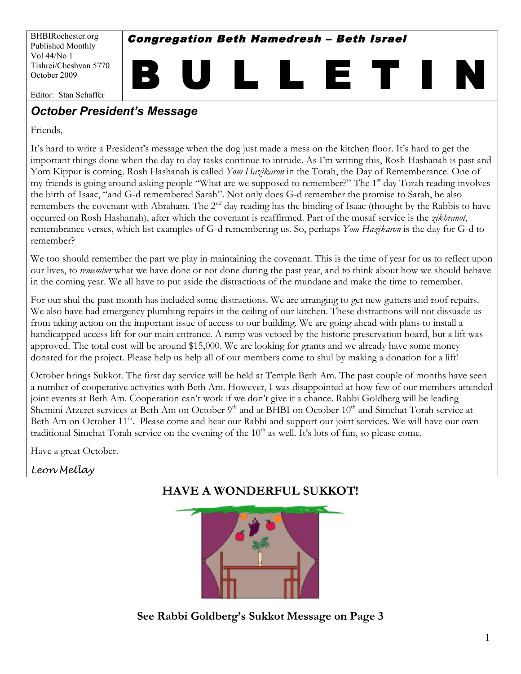BHBIRochester.org Published Monthly Vol 44/No 1 Tishrei/Cheshvan 5770 October 2009

Congregation Beth Hamedresh – Beth Israel

B U L L E T I N

Editor: Stan Schaffer

# *October President's Message*

Friends,

It's hard to write a President's message when the dog just made a mess on the kitchen floor. It's hard to get the important things done when the day to day tasks continue to intrude. As I'm writing this, Rosh Hashanah is past and Yom Kippur is coming. Rosh Hashanah is called *Yom Hazikaron* in the Torah, the Day of Rememberance. One of my friends is going around asking people "What are we supposed to remember?" The 1<sup>st</sup> day Torah reading involves the birth of Isaac, "and G-d remembered Sarah". Not only does G-d remember the promise to Sarah, he also remembers the covenant with Abraham. The 2<sup>nd</sup> day reading has the binding of Isaac (thought by the Rabbis to have occurred on Rosh Hashanah), after which the covenant is reaffirmed. Part of the musaf service is the *zikhranot*, remembrance verses, which list examples of G-d remembering us. So, perhaps *Yom Hazikaron* is the day for G-d to remember?

We too should remember the part we play in maintaining the covenant. This is the time of year for us to reflect upon our lives, to *remember* what we have done or not done during the past year, and to think about how we should behave in the coming year. We all have to put aside the distractions of the mundane and make the time to remember.

For our shul the past month has included some distractions. We are arranging to get new gutters and roof repairs. We also have had emergency plumbing repairs in the ceiling of our kitchen. These distractions will not dissuade us from taking action on the important issue of access to our building. We are going ahead with plans to install a handicapped access lift for our main entrance. A ramp was vetoed by the historic preservation board, but a lift was approved. The total cost will be around \$15,000. We are looking for grants and we already have some money donated for the project. Please help us help all of our members come to shul by making a donation for a lift!

October brings Sukkot. The first day service will be held at Temple Beth Am. The past couple of months have seen a number of cooperative activities with Beth Am. However, I was disappointed at how few of our members attended joint events at Beth Am. Cooperation can't work if we don't give it a chance. Rabbi Goldberg will be leading Shemini Atzeret services at Beth Am on October 9<sup>th</sup> and at BHBI on October 10<sup>th</sup> and Simchat Torah service at Beth Am on October 11<sup>th</sup>. Please come and hear our Rabbi and support our joint services. We will have our own traditional Simchat Torah service on the evening of the 10<sup>th</sup> as well. It's lots of fun, so please come.

Have a great October.

#### *Leon Metlay*

# **HAVE A WONDERFUL SUKKOT!**



**See Rabbi Goldberg's Sukkot Message on Page 3**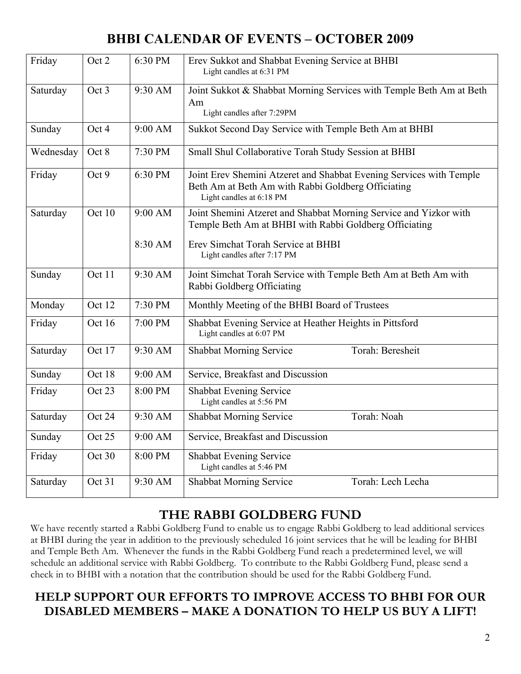# **BHBI CALENDAR OF EVENTS – OCTOBER 2009**

| Friday    | Oct 2  | 6:30 PM            | Erev Sukkot and Shabbat Evening Service at BHBI<br>Light candles at 6:31 PM                                                                                                                      |  |  |  |
|-----------|--------|--------------------|--------------------------------------------------------------------------------------------------------------------------------------------------------------------------------------------------|--|--|--|
| Saturday  | Oct 3  | 9:30 AM            | Joint Sukkot & Shabbat Morning Services with Temple Beth Am at Beth<br>Am<br>Light candles after 7:29PM                                                                                          |  |  |  |
| Sunday    | Oct 4  | 9:00 AM            | Sukkot Second Day Service with Temple Beth Am at BHBI                                                                                                                                            |  |  |  |
| Wednesday | Oct 8  | 7:30 PM            | Small Shul Collaborative Torah Study Session at BHBI                                                                                                                                             |  |  |  |
| Friday    | Oct 9  | 6:30 PM            | Joint Erev Shemini Atzeret and Shabbat Evening Services with Temple<br>Beth Am at Beth Am with Rabbi Goldberg Officiating<br>Light candles at 6:18 PM                                            |  |  |  |
| Saturday  | Oct 10 | 9:00 AM<br>8:30 AM | Joint Shemini Atzeret and Shabbat Morning Service and Yizkor with<br>Temple Beth Am at BHBI with Rabbi Goldberg Officiating<br>Erev Simchat Torah Service at BHBI<br>Light candles after 7:17 PM |  |  |  |
| Sunday    | Oct 11 | 9:30 AM            | Joint Simchat Torah Service with Temple Beth Am at Beth Am with<br>Rabbi Goldberg Officiating                                                                                                    |  |  |  |
| Monday    | Oct 12 | 7:30 PM            | Monthly Meeting of the BHBI Board of Trustees                                                                                                                                                    |  |  |  |
| Friday    | Oct 16 | 7:00 PM            | Shabbat Evening Service at Heather Heights in Pittsford<br>Light candles at 6:07 PM                                                                                                              |  |  |  |
| Saturday  | Oct 17 | 9:30 AM            | Torah: Beresheit<br><b>Shabbat Morning Service</b>                                                                                                                                               |  |  |  |
| Sunday    | Oct 18 | 9:00 AM            | Service, Breakfast and Discussion                                                                                                                                                                |  |  |  |
| Friday    | Oct 23 | 8:00 PM            | Shabbat Evening Service<br>Light candles at 5:56 PM                                                                                                                                              |  |  |  |
| Saturday  | Oct 24 | 9:30 AM            | <b>Shabbat Morning Service</b><br>Torah: Noah                                                                                                                                                    |  |  |  |
| Sunday    | Oct 25 | 9:00 AM            | Service, Breakfast and Discussion                                                                                                                                                                |  |  |  |
| Friday    | Oct 30 | 8:00 PM            | Shabbat Evening Service<br>Light candles at 5:46 PM                                                                                                                                              |  |  |  |
| Saturday  | Oct 31 | 9:30 AM            | Shabbat Morning Service<br>Torah: Lech Lecha                                                                                                                                                     |  |  |  |

# **THE RABBI GOLDBERG FUND**

We have recently started a Rabbi Goldberg Fund to enable us to engage Rabbi Goldberg to lead additional services at BHBI during the year in addition to the previously scheduled 16 joint services that he will be leading for BHBI and Temple Beth Am. Whenever the funds in the Rabbi Goldberg Fund reach a predetermined level, we will schedule an additional service with Rabbi Goldberg. To contribute to the Rabbi Goldberg Fund, please send a check in to BHBI with a notation that the contribution should be used for the Rabbi Goldberg Fund.

### **HELP SUPPORT OUR EFFORTS TO IMPROVE ACCESS TO BHBI FOR OUR DISABLED MEMBERS – MAKE A DONATION TO HELP US BUY A LIFT!**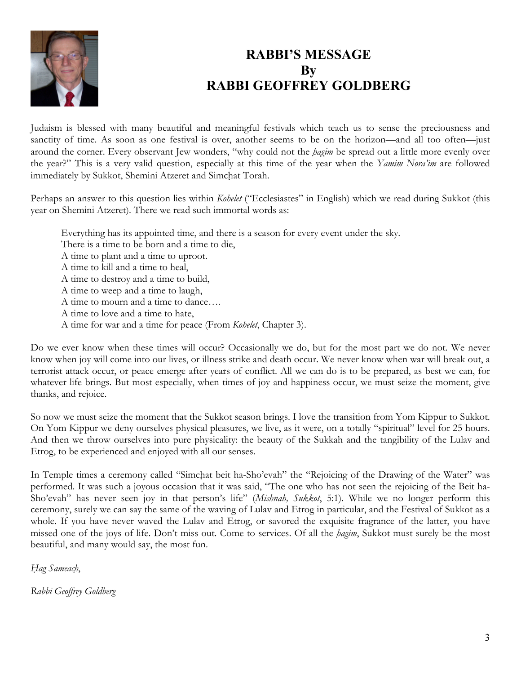

# **RABBI'S MESSAGE By RABBI GEOFFREY GOLDBERG**

Judaism is blessed with many beautiful and meaningful festivals which teach us to sense the preciousness and sanctity of time. As soon as one festival is over, another seems to be on the horizon—and all too often—just around the corner. Every observant Jew wonders, "why could not the *hagim* be spread out a little more evenly over the year?" This is a very valid question, especially at this time of the year when the *Yamim Nora'im* are followed immediately by Sukkot, Shemini Atzeret and Simchat Torah.

Perhaps an answer to this question lies within *Kohelet* ("Ecclesiastes" in English) which we read during Sukkot (this year on Shemini Atzeret). There we read such immortal words as:

Everything has its appointed time, and there is a season for every event under the sky.

There is a time to be born and a time to die,

A time to plant and a time to uproot.

A time to kill and a time to heal,

A time to destroy and a time to build,

A time to weep and a time to laugh,

A time to mourn and a time to dance….

A time to love and a time to hate,

A time for war and a time for peace (From *Kohelet*, Chapter 3).

Do we ever know when these times will occur? Occasionally we do, but for the most part we do not. We never know when joy will come into our lives, or illness strike and death occur. We never know when war will break out, a terrorist attack occur, or peace emerge after years of conflict. All we can do is to be prepared, as best we can, for whatever life brings. But most especially, when times of joy and happiness occur, we must seize the moment, give thanks, and rejoice.

So now we must seize the moment that the Sukkot season brings. I love the transition from Yom Kippur to Sukkot. On Yom Kippur we deny ourselves physical pleasures, we live, as it were, on a totally "spiritual" level for 25 hours. And then we throw ourselves into pure physicality: the beauty of the Sukkah and the tangibility of the Lulav and Etrog, to be experienced and enjoyed with all our senses.

In Temple times a ceremony called "Simchat beit ha-Sho'evah" the "Rejoicing of the Drawing of the Water" was performed. It was such a joyous occasion that it was said, "The one who has not seen the rejoicing of the Beit ha-Sho'evah" has never seen joy in that person's life" (*Mishnah, Sukkot*, 5:1). While we no longer perform this ceremony, surely we can say the same of the waving of Lulav and Etrog in particular, and the Festival of Sukkot as a whole. If you have never waved the Lulav and Etrog, or savored the exquisite fragrance of the latter, you have missed one of the joys of life. Don't miss out. Come to services. Of all the *ḥagim*, Sukkot must surely be the most beautiful, and many would say, the most fun.

*Ḥag Sameacḥ*,

*Rabbi Geoffrey Goldberg*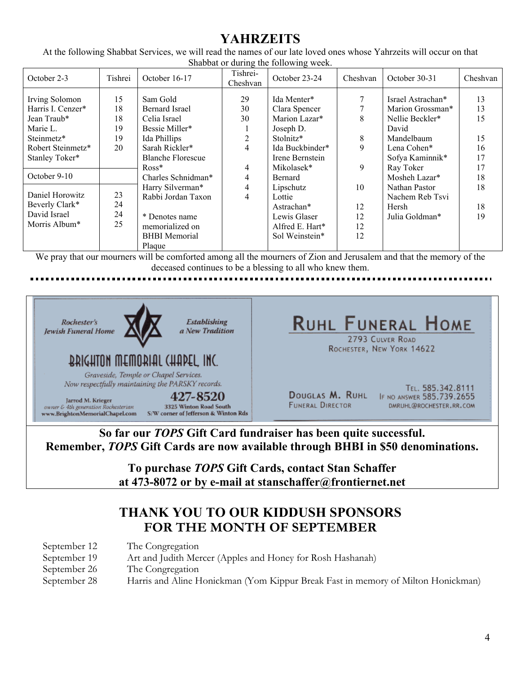# **YAHRZEITS**

At the following Shabbat Services, we will read the names of our late loved ones whose Yahrzeits will occur on that Shabbat or during the following week.

| October 2-3                                                                                       | Tishrei                          | October 16-17                                                                                                                     | Tishrei-<br>Cheshvan     | October 23-24                                                                              | Cheshvan                   | October 30-31                                                                                  | Cheshvan                   |
|---------------------------------------------------------------------------------------------------|----------------------------------|-----------------------------------------------------------------------------------------------------------------------------------|--------------------------|--------------------------------------------------------------------------------------------|----------------------------|------------------------------------------------------------------------------------------------|----------------------------|
| Irving Solomon<br>Harris I. Cenzer*<br>Jean Traub*<br>Marie L.<br>Steinmetz*<br>Robert Steinmetz* | 15<br>18<br>18<br>19<br>19<br>20 | Sam Gold<br><b>Bernard Israel</b><br>Celia Israel<br>Bessie Miller*<br>Ida Phillips<br>Sarah Rickler*<br><b>Blanche Florescue</b> | 29<br>30<br>30<br>2<br>4 | Ida Menter*<br>Clara Spencer<br>Marion Lazar*<br>Joseph D.<br>Stolnitz*<br>Ida Buckbinder* | 7<br>8<br>8<br>9           | Israel Astrachan*<br>Marion Grossman*<br>Nellie Beckler*<br>David<br>Mandelbaum<br>Lena Cohen* | 13<br>13<br>15<br>15<br>16 |
| Stanley Toker*<br>October 9-10                                                                    |                                  | $Ross*$<br>Charles Schnidman*                                                                                                     | $\overline{4}$<br>4      | Irene Bernstein<br>Mikolasek*<br>Bernard                                                   | 9                          | Sofya Kaminnik*<br>Ray Toker<br>Mosheh Lazar*                                                  | 17<br>17<br>18             |
| Daniel Horowitz<br>Beverly Clark*<br>David Israel<br>Morris Album*                                | 23<br>24<br>24<br>25             | Harry Silverman*<br>Rabbi Jordan Taxon<br>* Denotes name<br>memorialized on<br><b>BHBI</b> Memorial<br>Plaque                     | $\overline{4}$<br>4      | Lipschutz<br>Lottie<br>Astrachan*<br>Lewis Glaser<br>Alfred E. Hart*<br>Sol Weinstein*     | 10<br>12<br>12<br>12<br>12 | Nathan Pastor<br>Nachem Reb Tsvi<br>Hersh<br>Julia Goldman*                                    | 18<br>18<br>19             |

We pray that our mourners will be comforted among all the mourners of Zion and Jerusalem and that the memory of the deceased continues to be a blessing to all who knew them.

#### ---------------



**So far our** *TOPS* **Gift Card fundraiser has been quite successful. Remember,** *TOPS* **Gift Cards are now available through BHBI in \$50 denominations.**

> **To purchase** *TOPS* **Gift Cards, contact Stan Schaffer at 473-8072 or by e-mail at stanschaffer@frontiernet.net**

### **THANK YOU TO OUR KIDDUSH SPONSORS FOR THE MONTH OF SEPTEMBER**

| September 12 | The Congregation                                                                 |
|--------------|----------------------------------------------------------------------------------|
| September 19 | Art and Judith Mercer (Apples and Honey for Rosh Hashanah)                       |
| September 26 | The Congregation                                                                 |
| September 28 | Harris and Aline Honickman (Yom Kippur Break Fast in memory of Milton Honickman) |
|              |                                                                                  |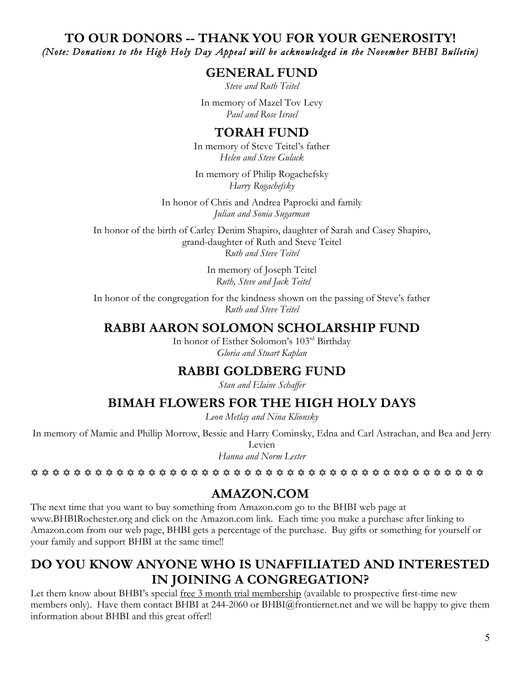#### **TO OUR DONORS -- THANK YOU FOR YOUR GENEROSITY!** *(Note: Donations to the High Holy Day Appeal will be acknowledged in the November BHBI Bulletin)*

### **GENERAL FUND**

*Steve and Ruth Teitel*

In memory of Mazel Tov Levy *Paul and Rose Israel*

### **TORAH FUND**

In memory of Steve Teitel's father *Helen and Steve Gulack*

In memory of Philip Rogachefsky *Harry Rogachefsky*

In honor of Chris and Andrea Paprocki and family *Julian and Sonia Sugarman*

In honor of the birth of Carley Denim Shapiro, daughter of Sarah and Casey Shapiro, grand-daughter of Ruth and Steve Teitel *Ruth and Steve Teitel*

> In memory of Joseph Teitel  *Ruth, Steve and Jack Teitel*

In honor of the congregation for the kindness shown on the passing of Steve's father *Ruth and Steve Teitel*

### **RABBI AARON SOLOMON SCHOLARSHIP FUND**

In honor of Esther Solomon's 103rd Birthday *Gloria and Stuart Kaplan*

### **RABBI GOLDBERG FUND**

*Stan and Elaine Schaffer*

### **BIMAH FLOWERS FOR THE HIGH HOLY DAYS**

*Leon Metlay and Nina Klionsky*

In memory of Mamie and Phillip Morrow, Bessie and Harry Cominsky, Edna and Carl Astrachan, and Bea and Jerry Levien

*Hanna and Norm Lester*

### **AMAZON.COM**

The next time that you want to buy something from Amazon.com go to the BHBI web page at www.BHBIRochester.org and click on the Amazon.com link. Each time you make a purchase after linking to Amazon.com from our web page, BHBI gets a percentage of the purchase. Buy gifts or something for yourself or your family and support BHBI at the same time!!

# **DO YOU KNOW ANYONE WHO IS UNAFFILIATED AND INTERESTED IN JOINING A CONGREGATION?**

Let them know about BHBI's special free 3 month trial membership (available to prospective first-time new members only). Have them contact BHBI at 244-2060 or BHBI@frontiernet.net and we will be happy to give them information about BHBI and this great offer!!